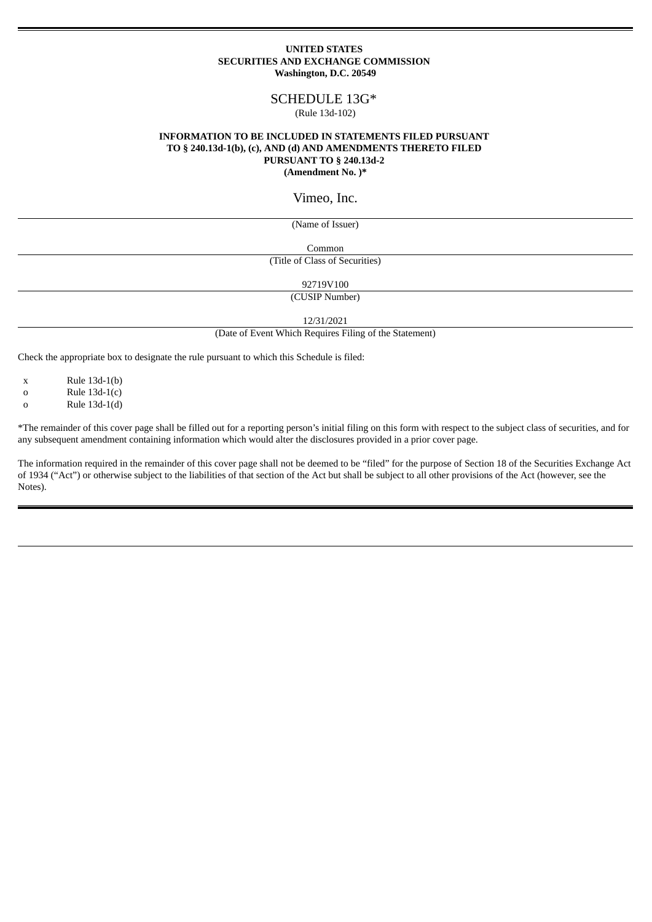#### **UNITED STATES SECURITIES AND EXCHANGE COMMISSION Washington, D.C. 20549**

# SCHEDULE 13G\*

#### (Rule 13d-102)

### **INFORMATION TO BE INCLUDED IN STATEMENTS FILED PURSUANT TO § 240.13d-1(b), (c), AND (d) AND AMENDMENTS THERETO FILED PURSUANT TO § 240.13d-2 (Amendment No. )\***

## Vimeo, Inc.

(Name of Issuer)

Common

(Title of Class of Securities)

92719V100

(CUSIP Number)

12/31/2021

(Date of Event Which Requires Filing of the Statement)

Check the appropriate box to designate the rule pursuant to which this Schedule is filed:

x Rule 13d-1(b)

o Rule 13d-1(c)

 $a = \text{Rule } 13d-1(d)$ 

\*The remainder of this cover page shall be filled out for a reporting person's initial filing on this form with respect to the subject class of securities, and for any subsequent amendment containing information which would alter the disclosures provided in a prior cover page.

The information required in the remainder of this cover page shall not be deemed to be "filed" for the purpose of Section 18 of the Securities Exchange Act of 1934 ("Act") or otherwise subject to the liabilities of that section of the Act but shall be subject to all other provisions of the Act (however, see the Notes).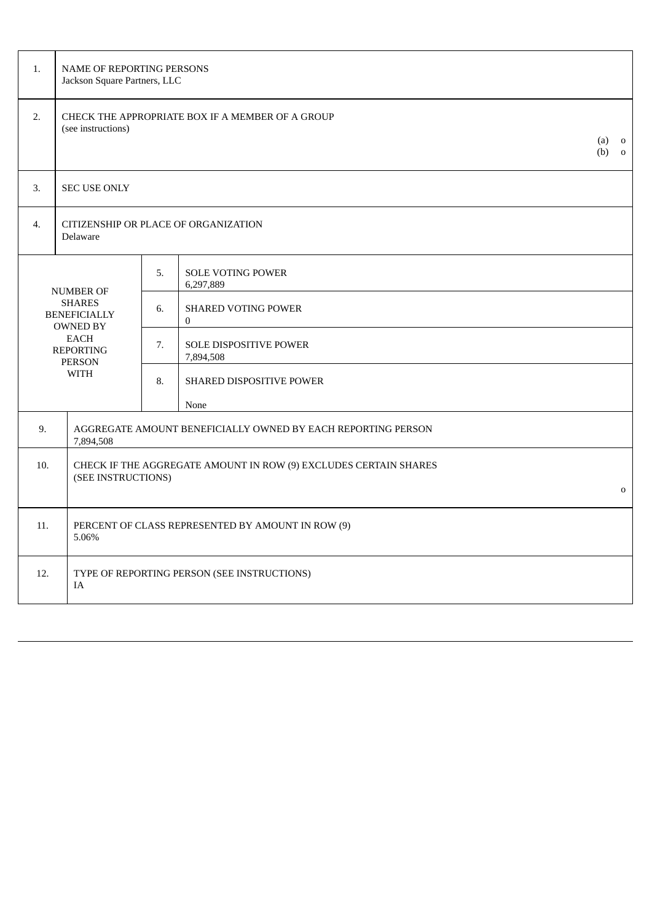| 1.          | NAME OF REPORTING PERSONS<br>Jackson Square Partners, LLC                                                                       |                                                                                        |                                              |  |  |  |  |
|-------------|---------------------------------------------------------------------------------------------------------------------------------|----------------------------------------------------------------------------------------|----------------------------------------------|--|--|--|--|
| 2.          | CHECK THE APPROPRIATE BOX IF A MEMBER OF A GROUP<br>(see instructions)                                                          |                                                                                        |                                              |  |  |  |  |
| 3.          | <b>SEC USE ONLY</b>                                                                                                             |                                                                                        |                                              |  |  |  |  |
| 4.          | CITIZENSHIP OR PLACE OF ORGANIZATION<br>Delaware                                                                                |                                                                                        |                                              |  |  |  |  |
|             |                                                                                                                                 | 5.                                                                                     | <b>SOLE VOTING POWER</b><br>6,297,889        |  |  |  |  |
|             | <b>NUMBER OF</b><br><b>SHARES</b><br><b>BENEFICIALLY</b><br><b>OWNED BY</b><br><b>EACH</b><br><b>REPORTING</b><br><b>PERSON</b> |                                                                                        | <b>SHARED VOTING POWER</b><br>$\overline{0}$ |  |  |  |  |
|             |                                                                                                                                 |                                                                                        | <b>SOLE DISPOSITIVE POWER</b><br>7,894,508   |  |  |  |  |
| <b>WITH</b> |                                                                                                                                 | 8.                                                                                     | SHARED DISPOSITIVE POWER                     |  |  |  |  |
|             |                                                                                                                                 |                                                                                        | None                                         |  |  |  |  |
| 9.          | AGGREGATE AMOUNT BENEFICIALLY OWNED BY EACH REPORTING PERSON<br>7,894,508                                                       |                                                                                        |                                              |  |  |  |  |
| 10.         |                                                                                                                                 | CHECK IF THE AGGREGATE AMOUNT IN ROW (9) EXCLUDES CERTAIN SHARES<br>(SEE INSTRUCTIONS) |                                              |  |  |  |  |
|             |                                                                                                                                 |                                                                                        |                                              |  |  |  |  |
| 11.         | PERCENT OF CLASS REPRESENTED BY AMOUNT IN ROW (9)<br>5.06%                                                                      |                                                                                        |                                              |  |  |  |  |
| 12.         | TYPE OF REPORTING PERSON (SEE INSTRUCTIONS)<br>IA                                                                               |                                                                                        |                                              |  |  |  |  |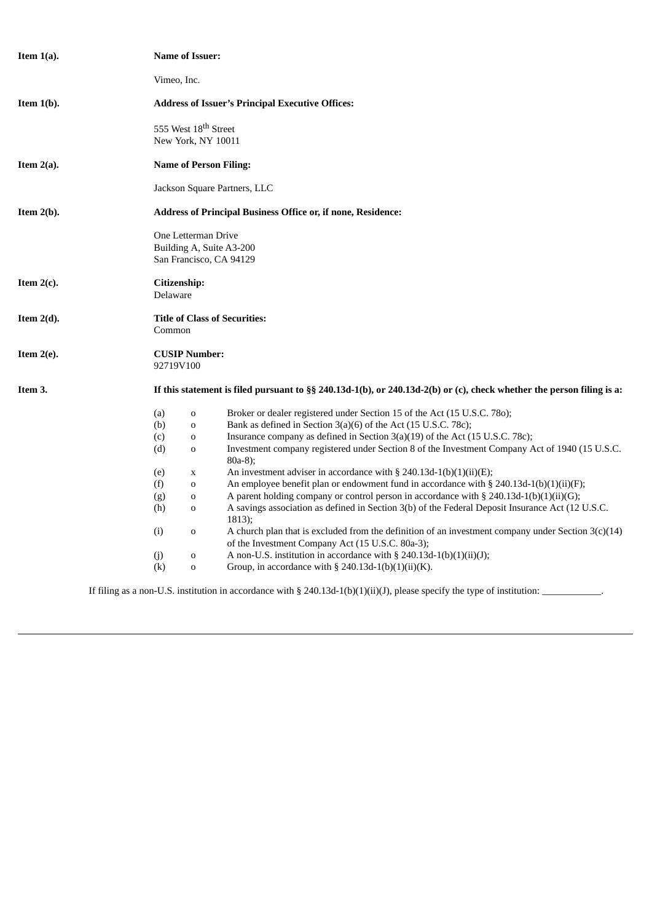| Item $1(a)$ . |                                                                                                                       | <b>Name of Issuer:</b> |                                                                                                                          |  |  |  |  |
|---------------|-----------------------------------------------------------------------------------------------------------------------|------------------------|--------------------------------------------------------------------------------------------------------------------------|--|--|--|--|
|               | Vimeo, Inc.                                                                                                           |                        |                                                                                                                          |  |  |  |  |
| Item $1(b)$ . | <b>Address of Issuer's Principal Executive Offices:</b>                                                               |                        |                                                                                                                          |  |  |  |  |
|               | 555 West 18 <sup>th</sup> Street                                                                                      |                        |                                                                                                                          |  |  |  |  |
|               | New York, NY 10011                                                                                                    |                        |                                                                                                                          |  |  |  |  |
| Item $2(a)$ . | <b>Name of Person Filing:</b>                                                                                         |                        |                                                                                                                          |  |  |  |  |
|               | Jackson Square Partners, LLC                                                                                          |                        |                                                                                                                          |  |  |  |  |
| Item $2(b)$ . | <b>Address of Principal Business Office or, if none, Residence:</b>                                                   |                        |                                                                                                                          |  |  |  |  |
|               | One Letterman Drive                                                                                                   |                        |                                                                                                                          |  |  |  |  |
|               | Building A, Suite A3-200                                                                                              |                        |                                                                                                                          |  |  |  |  |
|               | San Francisco, CA 94129                                                                                               |                        |                                                                                                                          |  |  |  |  |
| Item $2(c)$ . |                                                                                                                       | Citizenship:           |                                                                                                                          |  |  |  |  |
|               | Delaware                                                                                                              |                        |                                                                                                                          |  |  |  |  |
| Item $2(d)$ . | <b>Title of Class of Securities:</b>                                                                                  |                        |                                                                                                                          |  |  |  |  |
|               | Common                                                                                                                |                        |                                                                                                                          |  |  |  |  |
| Item $2(e)$ . | 92719V100                                                                                                             | <b>CUSIP Number:</b>   |                                                                                                                          |  |  |  |  |
|               |                                                                                                                       |                        |                                                                                                                          |  |  |  |  |
| Item 3.       | If this statement is filed pursuant to §§ 240.13d-1(b), or 240.13d-2(b) or (c), check whether the person filing is a: |                        |                                                                                                                          |  |  |  |  |
|               | (a)                                                                                                                   | $\mathbf 0$            | Broker or dealer registered under Section 15 of the Act (15 U.S.C. 780);                                                 |  |  |  |  |
|               | (b)                                                                                                                   | $\mathbf 0$            | Bank as defined in Section 3(a)(6) of the Act (15 U.S.C. 78c);                                                           |  |  |  |  |
|               | (c)                                                                                                                   | $\mathbf 0$            | Insurance company as defined in Section 3(a)(19) of the Act (15 U.S.C. 78c);                                             |  |  |  |  |
|               | (d)                                                                                                                   | $\mathbf 0$            | Investment company registered under Section 8 of the Investment Company Act of 1940 (15 U.S.C.                           |  |  |  |  |
|               |                                                                                                                       |                        | $80a-8$ ;                                                                                                                |  |  |  |  |
|               | (e)                                                                                                                   | X                      | An investment adviser in accordance with $\S$ 240.13d-1(b)(1)(ii)(E);                                                    |  |  |  |  |
|               | (f)                                                                                                                   | $\mathbf 0$            | An employee benefit plan or endowment fund in accordance with $\S$ 240.13d-1(b)(1)(ii)(F);                               |  |  |  |  |
|               | (g)                                                                                                                   | 0                      | A parent holding company or control person in accordance with § 240.13d-1(b)(1)(ii)(G);                                  |  |  |  |  |
|               | (h)                                                                                                                   | $\mathbf 0$            | A savings association as defined in Section 3(b) of the Federal Deposit Insurance Act (12 U.S.C.<br>1813);               |  |  |  |  |
|               | (i)                                                                                                                   | $\mathbf 0$            | A church plan that is excluded from the definition of an investment company under Section $3(c)(14)$                     |  |  |  |  |
|               |                                                                                                                       |                        | of the Investment Company Act (15 U.S.C. 80a-3);                                                                         |  |  |  |  |
|               | (j)                                                                                                                   | 0                      | A non-U.S. institution in accordance with § 240.13d-1(b)(1)(ii)(J);                                                      |  |  |  |  |
|               | (k)                                                                                                                   | $\mathbf 0$            | Group, in accordance with $\S$ 240.13d-1(b)(1)(ii)(K).                                                                   |  |  |  |  |
|               |                                                                                                                       |                        |                                                                                                                          |  |  |  |  |
|               |                                                                                                                       |                        | If filing as a non-U.S. institution in accordance with § 240.13d-1(b)(1)(ii)(J), please specify the type of institution: |  |  |  |  |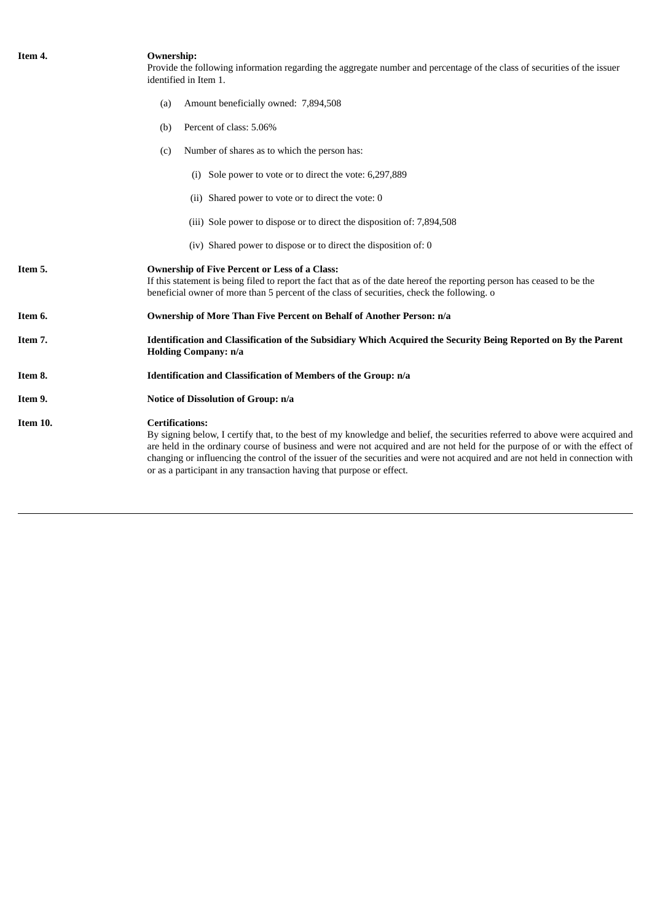| Item 4.  | <b>Ownership:</b><br>Provide the following information regarding the aggregate number and percentage of the class of securities of the issuer<br>identified in Item 1.                                                                                                                                                                                                                                                                                                                          |  |  |  |  |
|----------|-------------------------------------------------------------------------------------------------------------------------------------------------------------------------------------------------------------------------------------------------------------------------------------------------------------------------------------------------------------------------------------------------------------------------------------------------------------------------------------------------|--|--|--|--|
|          | Amount beneficially owned: 7,894,508<br>(a)                                                                                                                                                                                                                                                                                                                                                                                                                                                     |  |  |  |  |
|          | Percent of class: 5.06%<br>(b)                                                                                                                                                                                                                                                                                                                                                                                                                                                                  |  |  |  |  |
|          | Number of shares as to which the person has:<br>(c)                                                                                                                                                                                                                                                                                                                                                                                                                                             |  |  |  |  |
|          | (i) Sole power to vote or to direct the vote: 6,297,889                                                                                                                                                                                                                                                                                                                                                                                                                                         |  |  |  |  |
|          | (ii) Shared power to vote or to direct the vote: 0                                                                                                                                                                                                                                                                                                                                                                                                                                              |  |  |  |  |
|          | (iii) Sole power to dispose or to direct the disposition of: 7,894,508                                                                                                                                                                                                                                                                                                                                                                                                                          |  |  |  |  |
|          | (iv) Shared power to dispose or to direct the disposition of: 0                                                                                                                                                                                                                                                                                                                                                                                                                                 |  |  |  |  |
| Item 5.  | <b>Ownership of Five Percent or Less of a Class:</b><br>If this statement is being filed to report the fact that as of the date hereof the reporting person has ceased to be the<br>beneficial owner of more than 5 percent of the class of securities, check the following. o                                                                                                                                                                                                                  |  |  |  |  |
| Item 6.  | <b>Ownership of More Than Five Percent on Behalf of Another Person: n/a</b>                                                                                                                                                                                                                                                                                                                                                                                                                     |  |  |  |  |
| Item 7.  | Identification and Classification of the Subsidiary Which Acquired the Security Being Reported on By the Parent<br><b>Holding Company: n/a</b>                                                                                                                                                                                                                                                                                                                                                  |  |  |  |  |
| Item 8.  | Identification and Classification of Members of the Group: n/a                                                                                                                                                                                                                                                                                                                                                                                                                                  |  |  |  |  |
| Item 9.  | Notice of Dissolution of Group: n/a                                                                                                                                                                                                                                                                                                                                                                                                                                                             |  |  |  |  |
| Item 10. | <b>Certifications:</b><br>By signing below, I certify that, to the best of my knowledge and belief, the securities referred to above were acquired and<br>are held in the ordinary course of business and were not acquired and are not held for the purpose of or with the effect of<br>changing or influencing the control of the issuer of the securities and were not acquired and are not held in connection with<br>or as a participant in any transaction having that purpose or effect. |  |  |  |  |